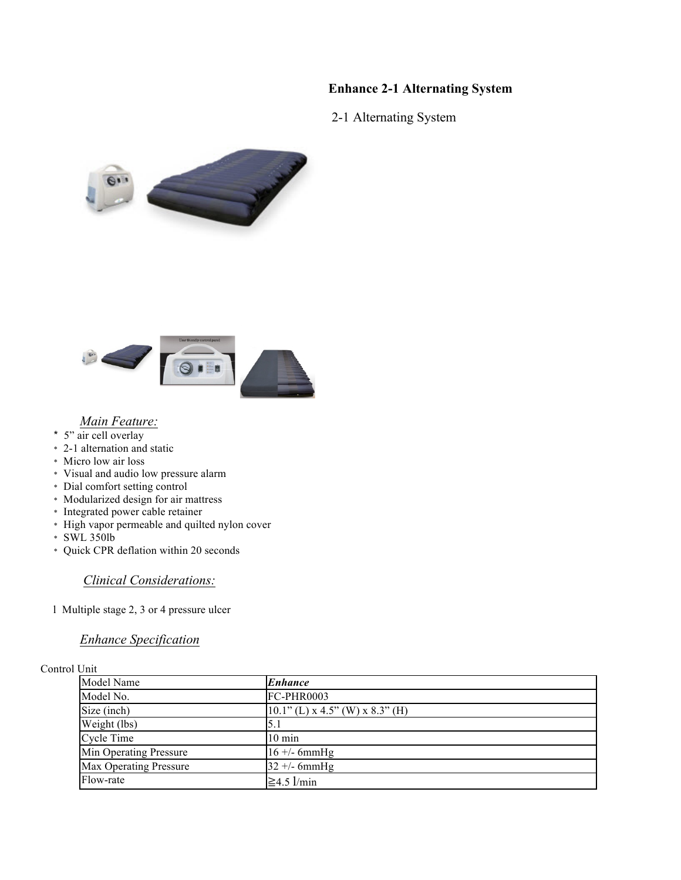# **Enhance 2-1 Alternating System**

2-1 Alternating System





## *Main Feature:*

- \* 5" air cell overlay
- \* 2-1 alternation and static
- \* Micro low air loss
- \* Visual and audio low pressure alarm
- \* Dial comfort setting control
- \* Modularized design for air mattress
- \* Integrated power cable retainer
- \* High vapor permeable and quilted nylon cover
- \* SWL 350lb
- \* Quick CPR deflation within 20 seconds

## *Clinical Considerations:*

l Multiple stage 2, 3 or 4 pressure ulcer

## *Enhance Specification*

### Control Unit

| Model Name             | <b>Enhance</b>                     |
|------------------------|------------------------------------|
| Model No.              | FC-PHR0003                         |
| Size (inch)            | $10.1$ " (L) x 4.5" (W) x 8.3" (H) |
| Weight (lbs)           | 5.1                                |
| Cycle Time             | $10 \text{ min}$                   |
| Min Operating Pressure | $16 +/- 6mmHg$                     |
| Max Operating Pressure | $32 + (-6)$ mmHg                   |
| Flow-rate              | $\geq 4.5$ l/min                   |